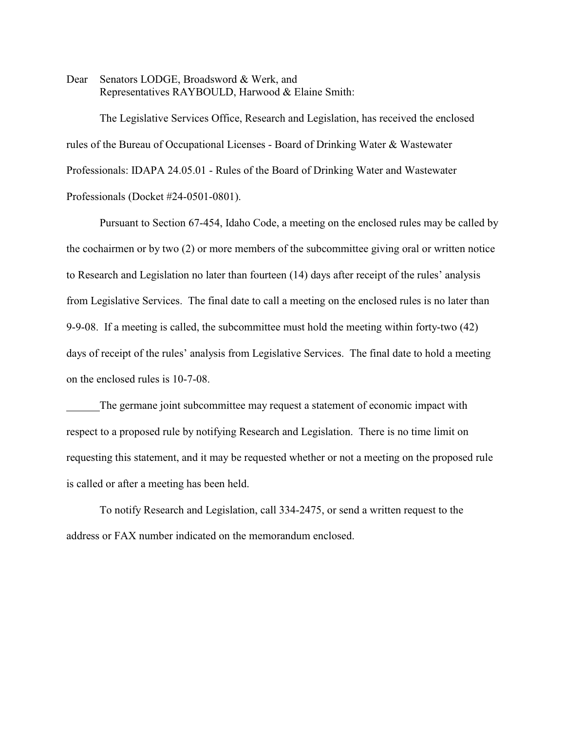Dear Senators LODGE, Broadsword & Werk, and Representatives RAYBOULD, Harwood & Elaine Smith:

The Legislative Services Office, Research and Legislation, has received the enclosed rules of the Bureau of Occupational Licenses - Board of Drinking Water & Wastewater Professionals: IDAPA 24.05.01 - Rules of the Board of Drinking Water and Wastewater Professionals (Docket #24-0501-0801).

Pursuant to Section 67-454, Idaho Code, a meeting on the enclosed rules may be called by the cochairmen or by two (2) or more members of the subcommittee giving oral or written notice to Research and Legislation no later than fourteen (14) days after receipt of the rules' analysis from Legislative Services. The final date to call a meeting on the enclosed rules is no later than 9-9-08. If a meeting is called, the subcommittee must hold the meeting within forty-two (42) days of receipt of the rules' analysis from Legislative Services. The final date to hold a meeting on the enclosed rules is 10-7-08.

The germane joint subcommittee may request a statement of economic impact with respect to a proposed rule by notifying Research and Legislation. There is no time limit on requesting this statement, and it may be requested whether or not a meeting on the proposed rule is called or after a meeting has been held.

To notify Research and Legislation, call 334-2475, or send a written request to the address or FAX number indicated on the memorandum enclosed.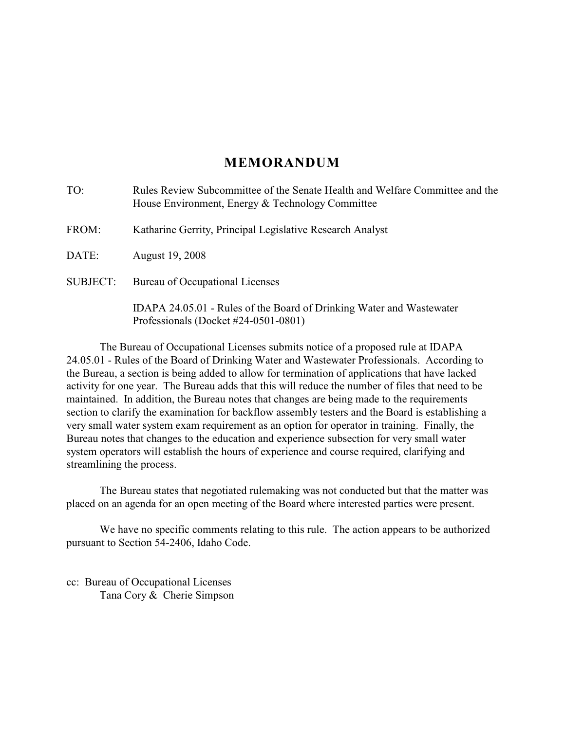# **MEMORANDUM**

| TO:             | Rules Review Subcommittee of the Senate Health and Welfare Committee and the<br>House Environment, Energy & Technology Committee |
|-----------------|----------------------------------------------------------------------------------------------------------------------------------|
| FROM:           | Katharine Gerrity, Principal Legislative Research Analyst                                                                        |
| DATE:           | August 19, 2008                                                                                                                  |
| <b>SUBJECT:</b> | Bureau of Occupational Licenses                                                                                                  |
|                 | IDAPA 24.05.01 - Rules of the Board of Drinking Water and Wastewater<br>Professionals (Docket $\#24-0501-0801$ )                 |

The Bureau of Occupational Licenses submits notice of a proposed rule at IDAPA 24.05.01 - Rules of the Board of Drinking Water and Wastewater Professionals. According to the Bureau, a section is being added to allow for termination of applications that have lacked activity for one year. The Bureau adds that this will reduce the number of files that need to be maintained. In addition, the Bureau notes that changes are being made to the requirements section to clarify the examination for backflow assembly testers and the Board is establishing a very small water system exam requirement as an option for operator in training. Finally, the Bureau notes that changes to the education and experience subsection for very small water system operators will establish the hours of experience and course required, clarifying and streamlining the process.

The Bureau states that negotiated rulemaking was not conducted but that the matter was placed on an agenda for an open meeting of the Board where interested parties were present.

We have no specific comments relating to this rule. The action appears to be authorized pursuant to Section 54-2406, Idaho Code.

cc: Bureau of Occupational Licenses Tana Cory & Cherie Simpson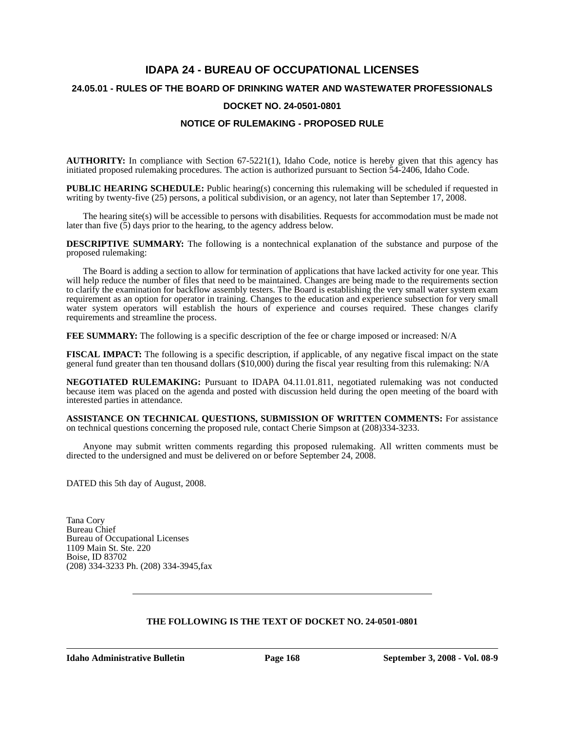# **IDAPA 24 - BUREAU OF OCCUPATIONAL LICENSES 24.05.01 - RULES OF THE BOARD OF DRINKING WATER AND WASTEWATER PROFESSIONALS DOCKET NO. 24-0501-0801 NOTICE OF RULEMAKING - PROPOSED RULE**

**AUTHORITY:** In compliance with Section 67-5221(1), Idaho Code, notice is hereby given that this agency has initiated proposed rulemaking procedures. The action is authorized pursuant to Section 54-2406, Idaho Code.

**PUBLIC HEARING SCHEDULE:** Public hearing(s) concerning this rulemaking will be scheduled if requested in writing by twenty-five (25) persons, a political subdivision, or an agency, not later than September 17, 2008.

The hearing site(s) will be accessible to persons with disabilities. Requests for accommodation must be made not later than five  $(5)$  days prior to the hearing, to the agency address below.

**DESCRIPTIVE SUMMARY:** The following is a nontechnical explanation of the substance and purpose of the proposed rulemaking:

The Board is adding a section to allow for termination of applications that have lacked activity for one year. This will help reduce the number of files that need to be maintained. Changes are being made to the requirements section to clarify the examination for backflow assembly testers. The Board is establishing the very small water system exam requirement as an option for operator in training. Changes to the education and experience subsection for very small water system operators will establish the hours of experience and courses required. These changes clarify requirements and streamline the process.

**FEE SUMMARY:** The following is a specific description of the fee or charge imposed or increased: N/A

**FISCAL IMPACT:** The following is a specific description, if applicable, of any negative fiscal impact on the state general fund greater than ten thousand dollars (\$10,000) during the fiscal year resulting from this rulemaking: N/A

**NEGOTIATED RULEMAKING:** Pursuant to IDAPA 04.11.01.811, negotiated rulemaking was not conducted because item was placed on the agenda and posted with discussion held during the open meeting of the board with interested parties in attendance.

**ASSISTANCE ON TECHNICAL QUESTIONS, SUBMISSION OF WRITTEN COMMENTS:** For assistance on technical questions concerning the proposed rule, contact Cherie Simpson at (208)334-3233.

Anyone may submit written comments regarding this proposed rulemaking. All written comments must be directed to the undersigned and must be delivered on or before September 24, 2008.

DATED this 5th day of August, 2008.

Tana Cory Bureau Chief Bureau of Occupational Licenses 1109 Main St. Ste. 220 Boise, ID 83702 (208) 334-3233 Ph. (208) 334-3945,fax

## **THE FOLLOWING IS THE TEXT OF DOCKET NO. 24-0501-0801**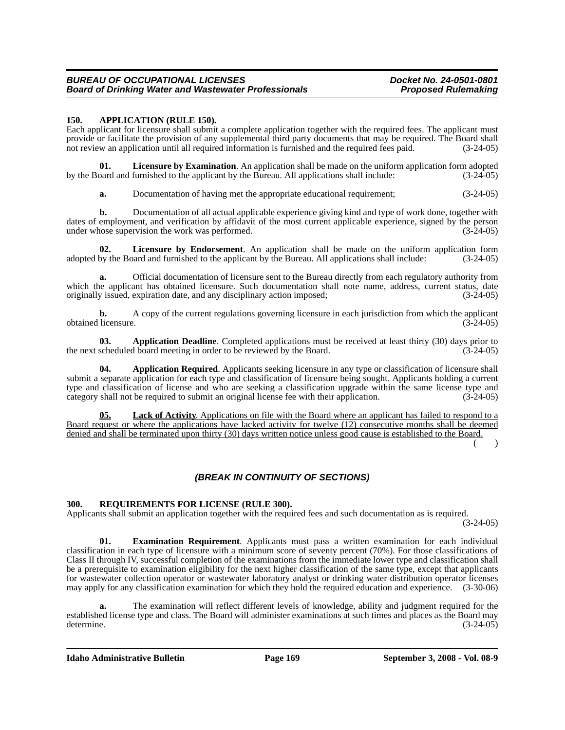#### *BUREAU OF OCCUPATIONAL LICENSES Docket No. 24-0501-0801* **Board of Drinking Water and Wastewater Professionals**

#### **150. APPLICATION (RULE 150).**

Each applicant for licensure shall submit a complete application together with the required fees. The applicant must provide or facilitate the provision of any supplemental third party documents that may be required. The Board shall not review an application until all required information is furnished and the required fees paid. (3-24-05)

**01.** Licensure by Examination. An application shall be made on the uniform application form adopted oard and furnished to the applicant by the Bureau. All applications shall include:  $(3-24-05)$ by the Board and furnished to the applicant by the Bureau. All applications shall include:

**a.** Documentation of having met the appropriate educational requirement; (3-24-05)

**b.** Documentation of all actual applicable experience giving kind and type of work done, together with dates of employment, and verification by affidavit of the most current applicable experience, signed by the person under whose supervision the work was performed. (3-24-05)

**02.** Licensure by Endorsement. An application shall be made on the uniform application form by the Board and furnished to the applicant by the Bureau. All applications shall include:  $(3-24-05)$ adopted by the Board and furnished to the applicant by the Bureau. All applications shall include:

**a.** Official documentation of licensure sent to the Bureau directly from each regulatory authority from which the applicant has obtained licensure. Such documentation shall note name, address, current status, date originally issued, expiration date, and any disciplinary action imposed; (3-24-05)

**b.** A copy of the current regulations governing licensure in each jurisdiction from which the applicant obtained licensure. (3-24-05)

**03. Application Deadline**. Completed applications must be received at least thirty (30) days prior to the next scheduled board meeting in order to be reviewed by the Board. (3-24-05)

**04. Application Required**. Applicants seeking licensure in any type or classification of licensure shall submit a separate application for each type and classification of licensure being sought. Applicants holding a current type and classification of license and who are seeking a classification upgrade within the same license type and category shall not be required to submit an original license fee with their application. (3-24-05)

**05. Lack of Activity**. Applications on file with the Board where an applicant has failed to respond to a Board request or where the applications have lacked activity for twelve (12) consecutive months shall be deemed denied and shall be terminated upon thirty (30) days written notice unless good cause is established to the Board.

 $($  )

## *(BREAK IN CONTINUITY OF SECTIONS)*

#### **300. REQUIREMENTS FOR LICENSE (RULE 300).**

Applicants shall submit an application together with the required fees and such documentation as is required.

(3-24-05)

**01. Examination Requirement**. Applicants must pass a written examination for each individual classification in each type of licensure with a minimum score of seventy percent (70%). For those classifications of Class II through IV, successful completion of the examinations from the immediate lower type and classification shall be a prerequisite to examination eligibility for the next higher classification of the same type, except that applicants for wastewater collection operator or wastewater laboratory analyst or drinking water distribution operator licenses may apply for any classification examination for which they hold the required education and experience. (3-30-06)

**a.** The examination will reflect different levels of knowledge, ability and judgment required for the established license type and class. The Board will administer examinations at such times and places as the Board may determine. (3-24-05)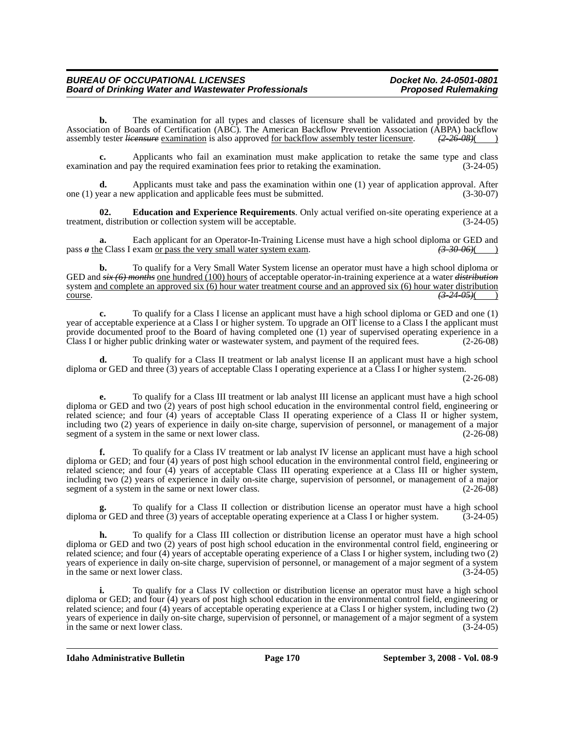#### *BUREAU OF OCCUPATIONAL LICENSES Docket No. 24-0501-0801* **Board of Drinking Water and Wastewater Professionals**

**b.** The examination for all types and classes of licensure shall be validated and provided by the Association of Boards of Certification (ABC). The American Backflow Prevention Association (ABPA) backflow assembly tester *licensure* examination is also approved for backflow assembly tester licensure.  $\left(2-26-08\right)$  ( assembly tester *licensure* examination is also approved for backflow assembly tester licensure.

Applicants who fail an examination must make application to retake the same type and class pay the required examination fees prior to retaking the examination. (3-24-05) examination and pay the required examination fees prior to retaking the examination.

**d.** Applicants must take and pass the examination within one (1) year of application approval. After one (1) year a new application and applicable fees must be submitted. (3-30-07)

**02. Education and Experience Requirements**. Only actual verified on-site operating experience at a treatment, distribution or collection system will be acceptable.

Each applicant for an Operator-In-Training License must have a high school diploma or GED and exam or pass the very small water system exam.  $\left(3\text{-}30\text{-}06\right)$ pass  $\alpha$  the Class I exam or pass the very small water system exam.

**b.** To qualify for a Very Small Water System license an operator must have a high school diploma or GED and *six (6) months* one hundred (100) hours of acceptable operator-in-training experience at a water *distribution* system and complete an approved six (6) hour water treatment course and an approved six (6) hour water distribution course. **(3-24-05)**(

**c.** To qualify for a Class I license an applicant must have a high school diploma or GED and one (1) year of acceptable experience at a Class I or higher system. To upgrade an OIT license to a Class I the applicant must provide documented proof to the Board of having completed one (1) year of supervised operating experience in a<br>Class I or higher public drinking water or wastewater system, and payment of the required fees. (2-26-08) Class I or higher public drinking water or wastewater system, and payment of the required fees.

**d.** To qualify for a Class II treatment or lab analyst license II an applicant must have a high school diploma or GED and three (3) years of acceptable Class I operating experience at a Class I or higher system.

(2-26-08)

**e.** To qualify for a Class III treatment or lab analyst III license an applicant must have a high school diploma or GED and two (2) years of post high school education in the environmental control field, engineering or related science; and four (4) years of acceptable Class II operating experience of a Class II or higher system, including two (2) years of experience in daily on-site charge, supervision of personnel, or management of a major segment of a system in the same or next lower class. (2-26-08)

**f.** To qualify for a Class IV treatment or lab analyst IV license an applicant must have a high school diploma or GED; and four (4) years of post high school education in the environmental control field, engineering or related science; and four (4) years of acceptable Class III operating experience at a Class III or higher system, including two (2) years of experience in daily on-site charge, supervision of personnel, or management of a major segment of a system in the same or next lower class. (2-26-08)

To qualify for a Class II collection or distribution license an operator must have a high school<br>and three (3) years of acceptable operating experience at a Class I or higher system. (3-24-05) diploma or GED and three (3) years of acceptable operating experience at a Class I or higher system.

**h.** To qualify for a Class III collection or distribution license an operator must have a high school diploma or GED and two (2) years of post high school education in the environmental control field, engineering or related science; and four (4) years of acceptable operating experience of a Class I or higher system, including two (2) years of experience in daily on-site charge, supervision of personnel, or management of a major segment of a system in the same or next lower class. (3-24-05)

**i.** To qualify for a Class IV collection or distribution license an operator must have a high school diploma or GED; and four (4) years of post high school education in the environmental control field, engineering or related science; and four (4) years of acceptable operating experience at a Class I or higher system, including two (2) years of experience in daily on-site charge, supervision of personnel, or management of a major segment of a system in the same or next lower class. (3-24-05)

**Idaho Administrative Bulletin Page 170 September 3, 2008 - Vol. 08-9**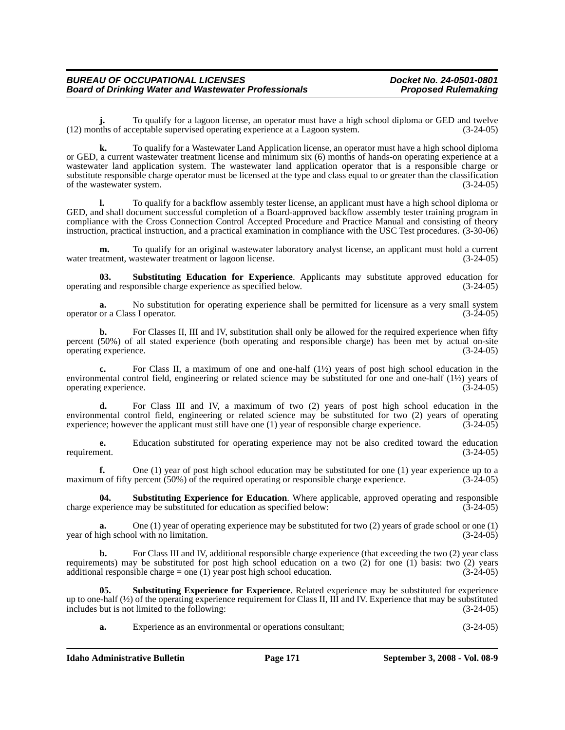**j.** To qualify for a lagoon license, an operator must have a high school diploma or GED and twelve (12) months of acceptable supervised operating experience at a Lagoon system. (3-24-05)

**k.** To qualify for a Wastewater Land Application license, an operator must have a high school diploma or GED, a current wastewater treatment license and minimum six (6) months of hands-on operating experience at a wastewater land application system. The wastewater land application operator that is a responsible charge or substitute responsible charge operator must be licensed at the type and class equal to or greater than the classification of the wastewater system. (3-24-05)

**l.** To qualify for a backflow assembly tester license, an applicant must have a high school diploma or GED, and shall document successful completion of a Board-approved backflow assembly tester training program in compliance with the Cross Connection Control Accepted Procedure and Practice Manual and consisting of theory instruction, practical instruction, and a practical examination in compliance with the USC Test procedures. (3-30-06)

**m.** To qualify for an original wastewater laboratory analyst license, an applicant must hold a current atment, wastewater treatment or lagoon license. (3-24-05) water treatment, wastewater treatment or lagoon license.

**03. Substituting Education for Experience**. Applicants may substitute approved education for  $\alpha$  and responsible charge experience as specified below. (3-24-05) operating and responsible charge experience as specified below.

**a.** No substitution for operating experience shall be permitted for licensure as a very small system or a Class I operator. (3-24-05) operator or a Class I operator.

**b.** For Classes II, III and IV, substitution shall only be allowed for the required experience when fifty percent (50%) of all stated experience (both operating and responsible charge) has been met by actual on-site operating experience. (3-24-05)

For Class II, a maximum of one and one-half (1<sup>1/2</sup>) years of post high school education in the environmental control field, engineering or related science may be substituted for one and one-half  $(1\frac{1}{2})$  years of operating experience.  $(3-24-05)$ operating experience.

**d.** For Class III and IV, a maximum of two (2) years of post high school education in the environmental control field, engineering or related science may be substituted for two (2) years of operating experience; however the applicant must still have one (1) year of responsible charge experience. (3-24-05) experience; however the applicant must still have one (1) year of responsible charge experience.

**e.** Education substituted for operating experience may not be also credited toward the education requirement. (3-24-05)

**f.** One (1) year of post high school education may be substituted for one (1) year experience up to a maximum of fifty percent (50%) of the required operating or responsible charge experience. (3-24-05)

**04.** Substituting Experience for Education. Where applicable, approved operating and responsible xperience may be substituted for education as specified below: (3-24-05) charge experience may be substituted for education as specified below:

**a.** One (1) year of operating experience may be substituted for two (2) years of grade school or one (1) year of high school with no limitation. (3-24-05)

**b.** For Class III and IV, additional responsible charge experience (that exceeding the two (2) year class requirements) may be substituted for post high school education on a two  $(2)$  for one  $(1)$  basis: two  $(2)$  years additional responsible charge = one (1) year post high school education. (3-24-05)

**05. Substituting Experience for Experience**. Related experience may be substituted for experience up to one-half  $\frac{1}{2}$  of the operating experience requirement for Class II, III and IV. Experience that may be substituted includes but is not limited to the following:  $(3-24-05)$ includes but is not limited to the following:

**a.** Experience as an environmental or operations consultant; (3-24-05)